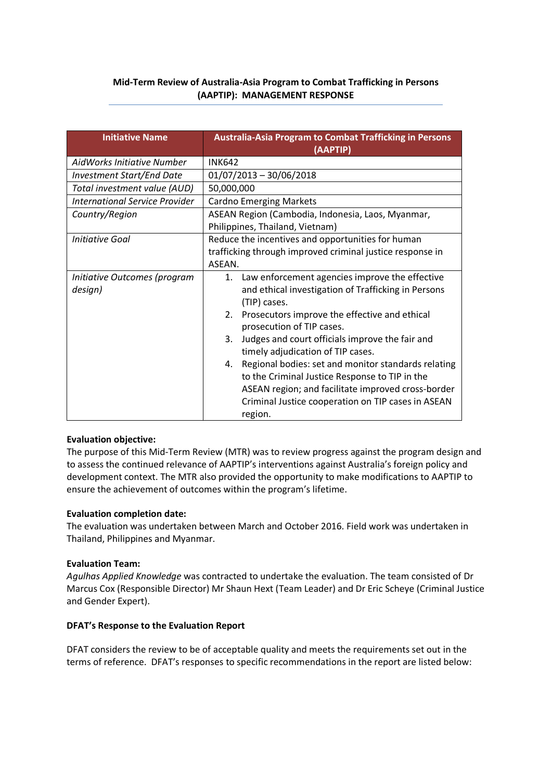## **Mid-Term Review of Australia-Asia Program to Combat Trafficking in Persons (AAPTIP): MANAGEMENT RESPONSE**

| <b>Initiative Name</b>                | <b>Australia-Asia Program to Combat Trafficking in Persons</b><br>(AAPTIP) |  |  |  |
|---------------------------------------|----------------------------------------------------------------------------|--|--|--|
| AidWorks Initiative Number            | <b>INK642</b>                                                              |  |  |  |
| <b>Investment Start/End Date</b>      | $01/07/2013 - 30/06/2018$                                                  |  |  |  |
| Total investment value (AUD)          | 50,000,000                                                                 |  |  |  |
| <b>International Service Provider</b> | <b>Cardno Emerging Markets</b>                                             |  |  |  |
| Country/Region                        | ASEAN Region (Cambodia, Indonesia, Laos, Myanmar,                          |  |  |  |
|                                       | Philippines, Thailand, Vietnam)                                            |  |  |  |
| Initiative Goal                       | Reduce the incentives and opportunities for human                          |  |  |  |
|                                       | trafficking through improved criminal justice response in                  |  |  |  |
|                                       | ASEAN.                                                                     |  |  |  |
| Initiative Outcomes (program          | Law enforcement agencies improve the effective<br>1.                       |  |  |  |
| design)                               | and ethical investigation of Trafficking in Persons                        |  |  |  |
|                                       | (TIP) cases.                                                               |  |  |  |
|                                       | 2. Prosecutors improve the effective and ethical                           |  |  |  |
|                                       | prosecution of TIP cases.                                                  |  |  |  |
|                                       | Judges and court officials improve the fair and<br>3.                      |  |  |  |
|                                       | timely adjudication of TIP cases.                                          |  |  |  |
|                                       | Regional bodies: set and monitor standards relating<br>4.                  |  |  |  |
|                                       | to the Criminal Justice Response to TIP in the                             |  |  |  |
|                                       | ASEAN region; and facilitate improved cross-border                         |  |  |  |
|                                       | Criminal Justice cooperation on TIP cases in ASEAN                         |  |  |  |
|                                       | region.                                                                    |  |  |  |

### **Evaluation objective:**

The purpose of this Mid-Term Review (MTR) was to review progress against the program design and to assess the continued relevance of AAPTIP's interventions against Australia's foreign policy and development context. The MTR also provided the opportunity to make modifications to AAPTIP to ensure the achievement of outcomes within the program's lifetime.

#### **Evaluation completion date:**

The evaluation was undertaken between March and October 2016. Field work was undertaken in Thailand, Philippines and Myanmar.

#### **Evaluation Team:**

*Agulhas Applied Knowledge* was contracted to undertake the evaluation. The team consisted of Dr Marcus Cox (Responsible Director) Mr Shaun Hext (Team Leader) and Dr Eric Scheye (Criminal Justice and Gender Expert).

#### **DFAT's Response to the Evaluation Report**

DFAT considers the review to be of acceptable quality and meets the requirements set out in the terms of reference. DFAT's responses to specific recommendations in the report are listed below: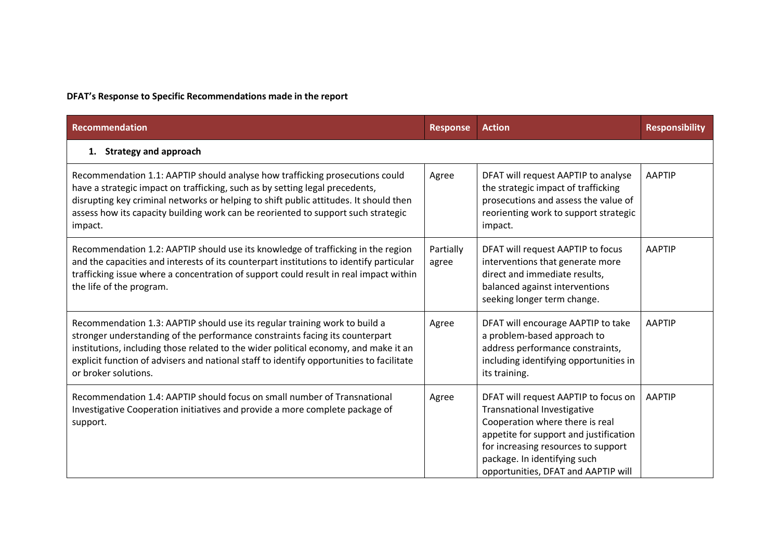# **DFAT's Response to Specific Recommendations made in the report**

| <b>Recommendation</b>                                                                                                                                                                                                                                                                                                                                                  | <b>Response</b>    | <b>Action</b>                                                                                                                                                                                                                                                  | <b>Responsibility</b> |  |  |  |
|------------------------------------------------------------------------------------------------------------------------------------------------------------------------------------------------------------------------------------------------------------------------------------------------------------------------------------------------------------------------|--------------------|----------------------------------------------------------------------------------------------------------------------------------------------------------------------------------------------------------------------------------------------------------------|-----------------------|--|--|--|
| <b>Strategy and approach</b><br>1.                                                                                                                                                                                                                                                                                                                                     |                    |                                                                                                                                                                                                                                                                |                       |  |  |  |
| Recommendation 1.1: AAPTIP should analyse how trafficking prosecutions could<br>have a strategic impact on trafficking, such as by setting legal precedents,<br>disrupting key criminal networks or helping to shift public attitudes. It should then<br>assess how its capacity building work can be reoriented to support such strategic<br>impact.                  | Agree              | DFAT will request AAPTIP to analyse<br>the strategic impact of trafficking<br>prosecutions and assess the value of<br>reorienting work to support strategic<br>impact.                                                                                         | <b>AAPTIP</b>         |  |  |  |
| Recommendation 1.2: AAPTIP should use its knowledge of trafficking in the region<br>and the capacities and interests of its counterpart institutions to identify particular<br>trafficking issue where a concentration of support could result in real impact within<br>the life of the program.                                                                       | Partially<br>agree | DFAT will request AAPTIP to focus<br>interventions that generate more<br>direct and immediate results,<br>balanced against interventions<br>seeking longer term change.                                                                                        | <b>AAPTIP</b>         |  |  |  |
| Recommendation 1.3: AAPTIP should use its regular training work to build a<br>stronger understanding of the performance constraints facing its counterpart<br>institutions, including those related to the wider political economy, and make it an<br>explicit function of advisers and national staff to identify opportunities to facilitate<br>or broker solutions. | Agree              | DFAT will encourage AAPTIP to take<br>a problem-based approach to<br>address performance constraints,<br>including identifying opportunities in<br>its training.                                                                                               | <b>AAPTIP</b>         |  |  |  |
| Recommendation 1.4: AAPTIP should focus on small number of Transnational<br>Investigative Cooperation initiatives and provide a more complete package of<br>support.                                                                                                                                                                                                   | Agree              | DFAT will request AAPTIP to focus on<br>Transnational Investigative<br>Cooperation where there is real<br>appetite for support and justification<br>for increasing resources to support<br>package. In identifying such<br>opportunities, DFAT and AAPTIP will | <b>AAPTIP</b>         |  |  |  |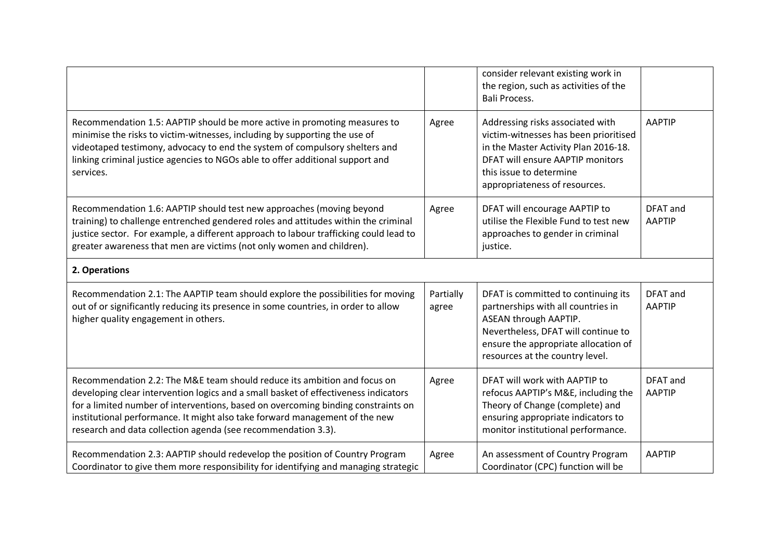|                                                                                                                                                                                                                                                                                                                                                                                                      |                    | consider relevant existing work in<br>the region, such as activities of the<br><b>Bali Process.</b>                                                                                                                  |                           |  |  |  |
|------------------------------------------------------------------------------------------------------------------------------------------------------------------------------------------------------------------------------------------------------------------------------------------------------------------------------------------------------------------------------------------------------|--------------------|----------------------------------------------------------------------------------------------------------------------------------------------------------------------------------------------------------------------|---------------------------|--|--|--|
| Recommendation 1.5: AAPTIP should be more active in promoting measures to<br>minimise the risks to victim-witnesses, including by supporting the use of<br>videotaped testimony, advocacy to end the system of compulsory shelters and<br>linking criminal justice agencies to NGOs able to offer additional support and<br>services.                                                                | Agree              | Addressing risks associated with<br>victim-witnesses has been prioritised<br>in the Master Activity Plan 2016-18.<br>DFAT will ensure AAPTIP monitors<br>this issue to determine<br>appropriateness of resources.    | <b>AAPTIP</b>             |  |  |  |
| Recommendation 1.6: AAPTIP should test new approaches (moving beyond<br>training) to challenge entrenched gendered roles and attitudes within the criminal<br>justice sector. For example, a different approach to labour trafficking could lead to<br>greater awareness that men are victims (not only women and children).                                                                         | Agree              | DFAT will encourage AAPTIP to<br>utilise the Flexible Fund to test new<br>approaches to gender in criminal<br>justice.                                                                                               | DFAT and<br><b>AAPTIP</b> |  |  |  |
| 2. Operations                                                                                                                                                                                                                                                                                                                                                                                        |                    |                                                                                                                                                                                                                      |                           |  |  |  |
| Recommendation 2.1: The AAPTIP team should explore the possibilities for moving<br>out of or significantly reducing its presence in some countries, in order to allow<br>higher quality engagement in others.                                                                                                                                                                                        | Partially<br>agree | DFAT is committed to continuing its<br>partnerships with all countries in<br>ASEAN through AAPTIP.<br>Nevertheless, DFAT will continue to<br>ensure the appropriate allocation of<br>resources at the country level. | DFAT and<br><b>AAPTIP</b> |  |  |  |
| Recommendation 2.2: The M&E team should reduce its ambition and focus on<br>developing clear intervention logics and a small basket of effectiveness indicators<br>for a limited number of interventions, based on overcoming binding constraints on<br>institutional performance. It might also take forward management of the new<br>research and data collection agenda (see recommendation 3.3). | Agree              | DFAT will work with AAPTIP to<br>refocus AAPTIP's M&E, including the<br>Theory of Change (complete) and<br>ensuring appropriate indicators to<br>monitor institutional performance.                                  | DFAT and<br><b>AAPTIP</b> |  |  |  |
| Recommendation 2.3: AAPTIP should redevelop the position of Country Program<br>Coordinator to give them more responsibility for identifying and managing strategic                                                                                                                                                                                                                                   | Agree              | An assessment of Country Program<br>Coordinator (CPC) function will be                                                                                                                                               | <b>AAPTIP</b>             |  |  |  |